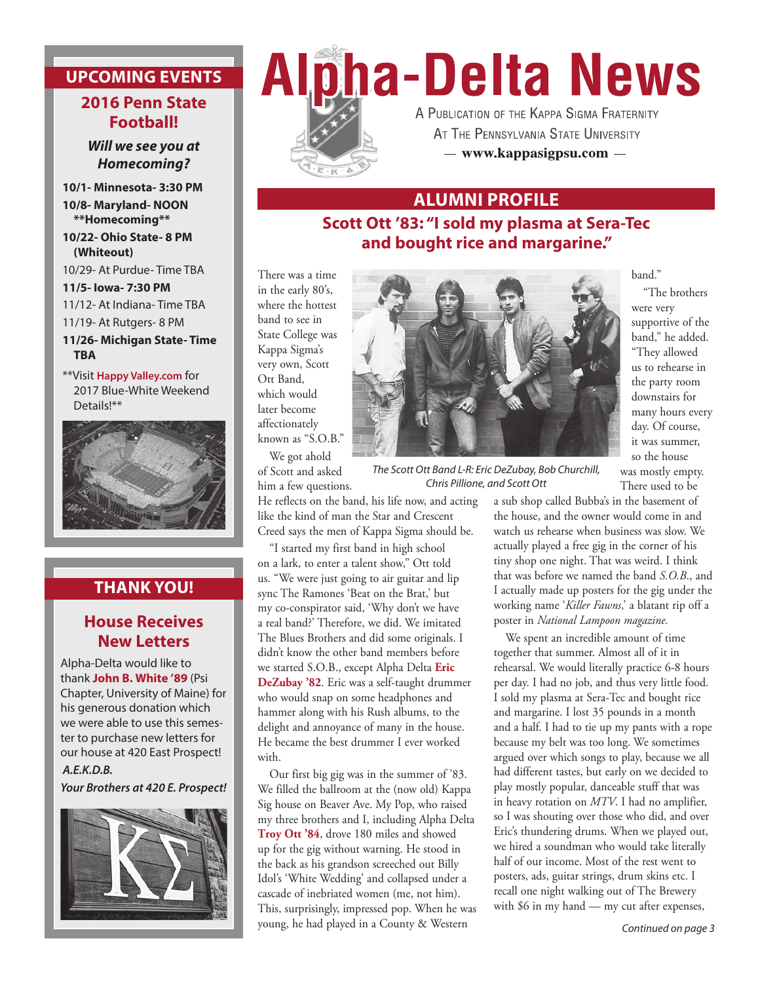# **UPCOMING EVENTS**

#### **2016 Penn State Football!**

*Will we see you at Homecoming?*

**10/1- Minnesota- 3:30 PM 10/8- Maryland- NOON \*\*Homecoming\*\***

**10/22- Ohio State- 8 PM (Whiteout)**

10/29- At Purdue- Time TBA

**11/5- Iowa- 7:30 PM**

11/12- At Indiana- Time TBA

11/19- At Rutgers- 8 PM

**11/26- Michigan State- Time TBA**

\*\*Visit **Happy Valley.com** for 2017 Blue-White Weekend Details!\*\*



### **THANK YOU!**

### **House Receives New Letters**

Alpha-Delta would like to thank **John B. White '89** (Psi Chapter, University of Maine) for his generous donation which we were able to use this semester to purchase new letters for our house at 420 East Prospect!

 *A.E.K.D.B. Your Brothers at 420 E. Prospect!*







A PUBLICATION OF THE KAPPA SIGMA FRATERNITY AT THE PENNSYLVANIA STATE UNIVERSITY - www.kappasigpsu.com -

## **ALUMNI PROFILE**

**Scott Ott '83: "I sold my plasma at Sera-Tec and bought rice and margarine."** 

There was a time in the early 80's, where the hottest band to see in State College was Kappa Sigma's very own, Scott Ott Band, which would later become affectionately known as "S.O.B."

We got ahold of Scott and asked him a few questions.

He reflects on the band, his life now, and acting like the kind of man the Star and Crescent Creed says the men of Kappa Sigma should be.

"I started my first band in high school on a lark, to enter a talent show," Ott told us. "We were just going to air guitar and lip sync The Ramones 'Beat on the Brat,' but my co-conspirator said, 'Why don't we have a real band?' Therefore, we did. We imitated The Blues Brothers and did some originals. I didn't know the other band members before we started S.O.B., except Alpha Delta **Eric DeZubay '82**. Eric was a self-taught drummer who would snap on some headphones and hammer along with his Rush albums, to the delight and annoyance of many in the house. He became the best drummer I ever worked with.

Our first big gig was in the summer of '83. We filled the ballroom at the (now old) Kappa Sig house on Beaver Ave. My Pop, who raised my three brothers and I, including Alpha Delta **Troy Ott '84**, drove 180 miles and showed up for the gig without warning. He stood in the back as his grandson screeched out Billy Idol's 'White Wedding' and collapsed under a cascade of inebriated women (me, not him). This, surprisingly, impressed pop. When he was young, he had played in a County & Western



*The Scott Ott Band L-R: Eric DeZubay, Bob Churchill, Chris Pillione, and Scott Ott*

There used to be a sub shop called Bubba's in the basement of the house, and the owner would come in and watch us rehearse when business was slow. We actually played a free gig in the corner of his tiny shop one night. That was weird. I think that was before we named the band *S.O.B*., and I actually made up posters for the gig under the working name '*Killer Fawns*,' a blatant rip off a

poster in *National Lampoon magazine.*

We spent an incredible amount of time together that summer. Almost all of it in rehearsal. We would literally practice 6-8 hours per day. I had no job, and thus very little food. I sold my plasma at Sera-Tec and bought rice and margarine. I lost 35 pounds in a month and a half. I had to tie up my pants with a rope because my belt was too long. We sometimes argued over which songs to play, because we all had different tastes, but early on we decided to play mostly popular, danceable stuff that was in heavy rotation on *MTV*. I had no amplifier, so I was shouting over those who did, and over Eric's thundering drums. When we played out, we hired a soundman who would take literally half of our income. Most of the rest went to posters, ads, guitar strings, drum skins etc. I recall one night walking out of The Brewery with \$6 in my hand — my cut after expenses,

#### *Continued on page 3*

#### band."

"The brothers were very supportive of the band," he added. "They allowed us to rehearse in the party room downstairs for many hours every day. Of course, it was summer, so the house was mostly empty.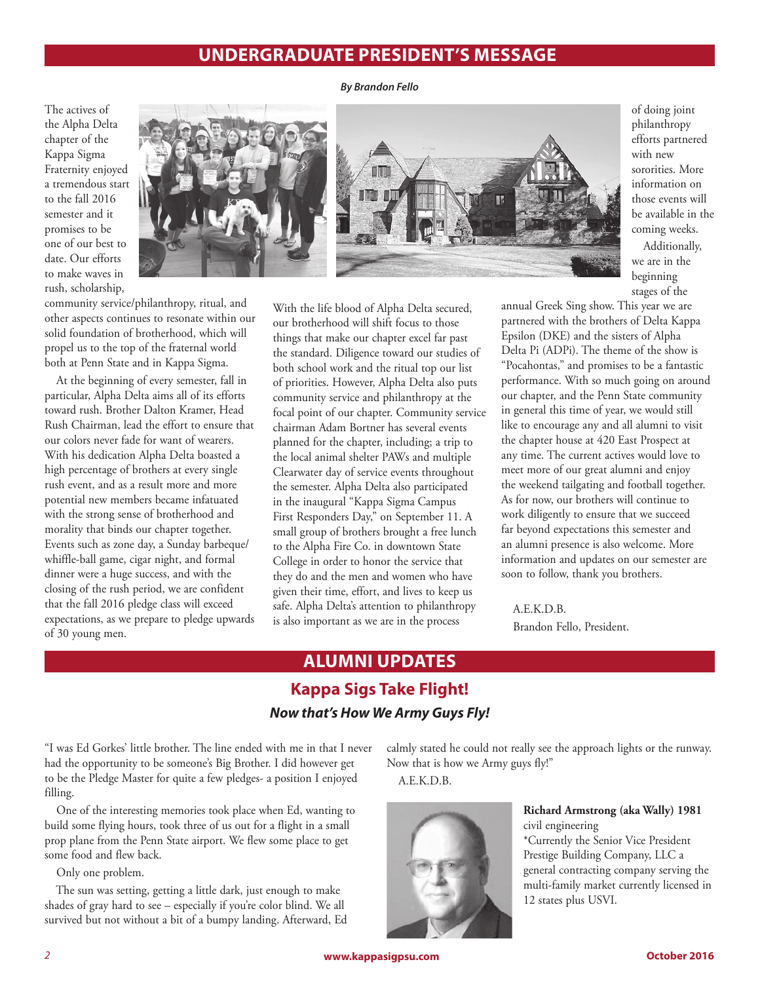## **UNDERGRADUATE PRESIDENT'S MESSAGE**

*By Brandon Fello*

The actives of the Alpha Delta chapter of the Kappa Sigma Fraternity enjoyed a tremendous start to the fall 2016 semester and it promises to be one of our best to date. Our efforts to make waves in rush, scholarship,



of doing joint philanthropy efforts partnered with new sororities. More information on those events will be available in the coming weeks. Additionally,

we are in the beginning stages of the

community service/philanthropy, ritual, and other aspects continues to resonate within our solid foundation of brotherhood, which will propel us to the top of the fraternal world both at Penn State and in Kappa Sigma.

At the beginning of every semester, fall in particular, Alpha Delta aims all of its efforts toward rush. Brother Dalton Kramer, Head Rush Chairman, lead the effort to ensure that our colors never fade for want of wearers. With his dedication Alpha Delta boasted a high percentage of brothers at every single rush event, and as a result more and more potential new members became infatuated with the strong sense of brotherhood and morality that binds our chapter together. Events such as zone day, a Sunday barbeque/ whiffle-ball game, cigar night, and formal dinner were a huge success, and with the closing of the rush period, we are confident that the fall 2016 pledge class will exceed expectations, as we prepare to pledge upwards of 30 young men.

With the life blood of Alpha Delta secured, our brotherhood will shift focus to those things that make our chapter excel far past the standard. Diligence toward our studies of both school work and the ritual top our list of priorities. However, Alpha Delta also puts community service and philanthropy at the focal point of our chapter. Community service chairman Adam Bortner has several events planned for the chapter, including; a trip to the local animal shelter PAWs and multiple Clearwater day of service events throughout the semester. Alpha Delta also participated in the inaugural "Kappa Sigma Campus First Responders Day," on September 11. A small group of brothers brought a free lunch to the Alpha Fire Co. in downtown State College in order to honor the service that they do and the men and women who have given their time, effort, and lives to keep us safe. Alpha Delta's attention to philanthropy is also important as we are in the process

annual Greek Sing show. This year we are partnered with the brothers of Delta Kappa Epsilon (DKE) and the sisters of Alpha Delta Pi (ADPi). The theme of the show is "Pocahontas," and promises to be a fantastic performance. With so much going on around our chapter, and the Penn State community in general this time of year, we would still like to encourage any and all alumni to visit the chapter house at 420 East Prospect at any time. The current actives would love to meet more of our great alumni and enjoy the weekend tailgating and football together. As for now, our brothers will continue to work diligently to ensure that we succeed far beyond expectations this semester and an alumni presence is also welcome. More information and updates on our semester are soon to follow, thank you brothers.

A.E.K.D.B. Brandon Fello, President.

# **ALUMNI UPDATES**

## **Kappa Sigs Take Flight!** *Now that's How We Army Guys Fly!*

"I was Ed Gorkes' little brother. The line ended with me in that I never had the opportunity to be someone's Big Brother. I did however get to be the Pledge Master for quite a few pledges- a position I enjoyed filling.

One of the interesting memories took place when Ed, wanting to build some flying hours, took three of us out for a flight in a small prop plane from the Penn State airport. We flew some place to get some food and flew back.

Only one problem.

The sun was setting, getting a little dark, just enough to make shades of gray hard to see – especially if you're color blind. We all survived but not without a bit of a bumpy landing. Afterward, Ed calmly stated he could not really see the approach lights or the runway. Now that is how we Army guys fly!"

A.E.K.D.B.



**Richard Armstrong (aka Wally) 1981** civil engineering

\*Currently the Senior Vice President Prestige Building Company, LLC a general contracting company serving the multi-family market currently licensed in 12 states plus USVI.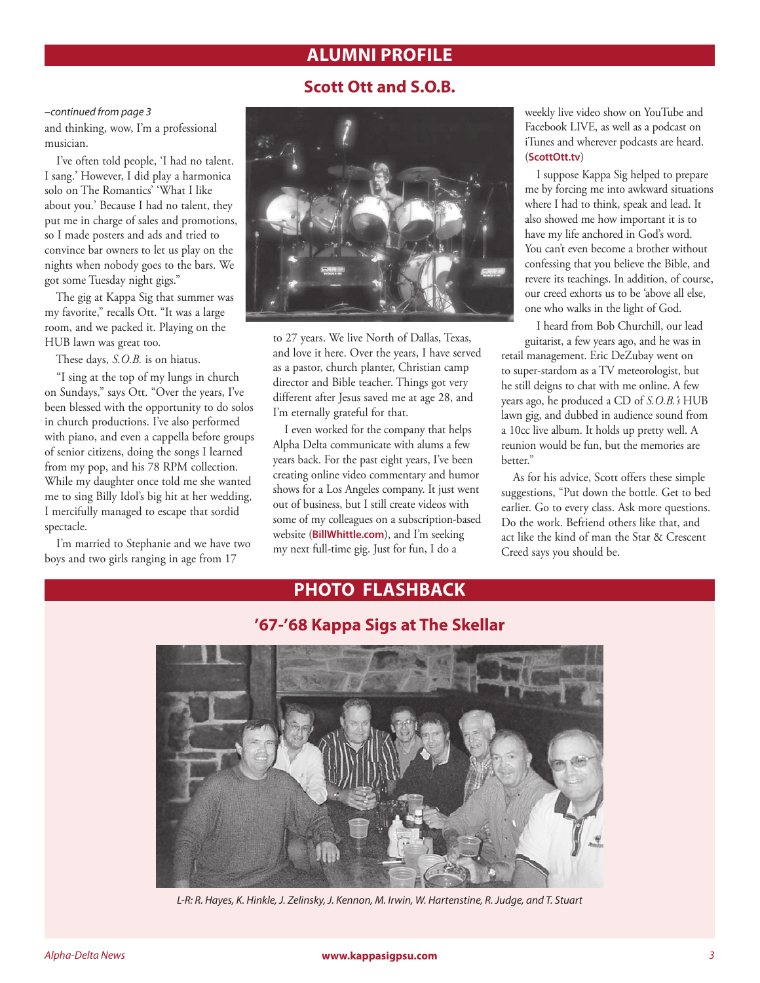## **ALUMNI PROFILE**

## **Scott Ott and S.O.B.**

#### *–continued from page 3*

and thinking, wow, I'm a professional musician.

I've often told people, 'I had no talent. I sang.' However, I did play a harmonica solo on The Romantics' 'What I like about you.' Because I had no talent, they put me in charge of sales and promotions, so I made posters and ads and tried to convince bar owners to let us play on the nights when nobody goes to the bars. We got some Tuesday night gigs."

The gig at Kappa Sig that summer was my favorite," recalls Ott. "It was a large room, and we packed it. Playing on the HUB lawn was great too.

These days, *S.O.B.* is on hiatus.

"I sing at the top of my lungs in church on Sundays," says Ott. "Over the years, I've been blessed with the opportunity to do solos in church productions. I've also performed with piano, and even a cappella before groups of senior citizens, doing the songs I learned from my pop, and his 78 RPM collection. While my daughter once told me she wanted me to sing Billy Idol's big hit at her wedding, I mercifully managed to escape that sordid spectacle.

I'm married to Stephanie and we have two boys and two girls ranging in age from 17



to 27 years. We live North of Dallas, Texas, and love it here. Over the years, I have served as a pastor, church planter, Christian camp director and Bible teacher. Things got very different after Jesus saved me at age 28, and I'm eternally grateful for that.

I even worked for the company that helps Alpha Delta communicate with alums a few years back. For the past eight years, I've been creating online video commentary and humor shows for a Los Angeles company. It just went out of business, but I still create videos with some of my colleagues on a subscription-based website (**BillWhittle.com**), and I'm seeking my next full-time gig. Just for fun, I do a

weekly live video show on YouTube and Facebook LIVE, as well as a podcast on iTunes and wherever podcasts are heard. (**ScottOtt.tv**)

I suppose Kappa Sig helped to prepare me by forcing me into awkward situations where I had to think, speak and lead. It also showed me how important it is to have my life anchored in God's word. You can't even become a brother without confessing that you believe the Bible, and revere its teachings. In addition, of course, our creed exhorts us to be 'above all else, one who walks in the light of God.

I heard from Bob Churchill, our lead guitarist, a few years ago, and he was in

retail management. Eric DeZubay went on to super-stardom as a TV meteorologist, but he still deigns to chat with me online. A few years ago, he produced a CD of *S.O.B.'s* HUB lawn gig, and dubbed in audience sound from a 10cc live album. It holds up pretty well. A reunion would be fun, but the memories are better."

As for his advice, Scott offers these simple suggestions, "Put down the bottle. Get to bed earlier. Go to every class. Ask more questions. Do the work. Befriend others like that, and act like the kind of man the Star & Crescent Creed says you should be.

## **PHOTO FLASHBACK**



*L-R: R. Hayes, K. Hinkle, J. Zelinsky, J. Kennon, M. Irwin, W. Hartenstine, R. Judge, and T. Stuart*